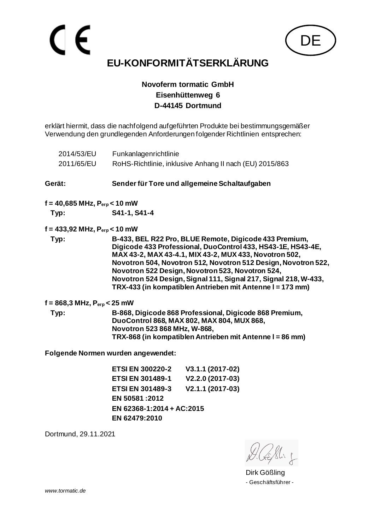

# **Novoferm tormatic GmbH Eisenhüttenweg 6**

**D-44145 Dortmund**

erklärt hiermit, dass die nachfolgend aufgeführten Produkte bei bestimmungsgemäßer Verwendung den grundlegenden Anforderungen folgender Richtlinien entsprechen:

|                      | 2014/53/EU                                               | Funkanlagenrichtlinie                                                                                                                                                                             |                                                                                                                                                                                                                                                                                                                                                                                                                                        |  |  |
|----------------------|----------------------------------------------------------|---------------------------------------------------------------------------------------------------------------------------------------------------------------------------------------------------|----------------------------------------------------------------------------------------------------------------------------------------------------------------------------------------------------------------------------------------------------------------------------------------------------------------------------------------------------------------------------------------------------------------------------------------|--|--|
|                      | 2011/65/EU                                               |                                                                                                                                                                                                   | RoHS-Richtlinie, inklusive Anhang II nach (EU) 2015/863                                                                                                                                                                                                                                                                                                                                                                                |  |  |
| Gerät:               |                                                          |                                                                                                                                                                                                   | Sender für Tore und allgemeine Schaltaufgaben                                                                                                                                                                                                                                                                                                                                                                                          |  |  |
|                      | $f = 40,685 \text{ MHz}, P_{\text{erp}} < 10 \text{ mW}$ |                                                                                                                                                                                                   |                                                                                                                                                                                                                                                                                                                                                                                                                                        |  |  |
| S41-1, S41-4<br>Typ: |                                                          |                                                                                                                                                                                                   |                                                                                                                                                                                                                                                                                                                                                                                                                                        |  |  |
|                      | $f = 433,92 \text{ MHz}, P_{\text{erp}} < 10 \text{ mW}$ |                                                                                                                                                                                                   |                                                                                                                                                                                                                                                                                                                                                                                                                                        |  |  |
|                      | Typ:                                                     |                                                                                                                                                                                                   | B-433, BEL R22 Pro, BLUE Remote, Digicode 433 Premium,<br>Digicode 433 Professional, DuoControl 433, HS43-1E, HS43-4E,<br>MAX 43-2, MAX 43-4.1, MIX 43-2, MUX 433, Novotron 502,<br>Novotron 504, Novotron 512, Novotron 512 Design, Novotron 522,<br>Novotron 522 Design, Novotron 523, Novotron 524,<br>Novotron 524 Design, Signal 111, Signal 217, Signal 218, W-433,<br>TRX-433 (in kompatiblen Antrieben mit Antenne I = 173 mm) |  |  |
|                      | f = 868,3 MHz, $P_{\text{erp}}$ < 25 mW                  |                                                                                                                                                                                                   |                                                                                                                                                                                                                                                                                                                                                                                                                                        |  |  |
|                      | Typ:                                                     | B-868, Digicode 868 Professional, Digicode 868 Premium,<br>DuoControl 868, MAX 802, MAX 804, MUX 868,<br>Novotron 523 868 MHz, W-868,<br>TRX-868 (in kompatiblen Antrieben mit Antenne I = 86 mm) |                                                                                                                                                                                                                                                                                                                                                                                                                                        |  |  |
|                      |                                                          | Folgende Normen wurden angewendet:                                                                                                                                                                |                                                                                                                                                                                                                                                                                                                                                                                                                                        |  |  |
|                      |                                                          | <b>ETSI EN 300220-2</b>                                                                                                                                                                           | V3.1.1 (2017-02)                                                                                                                                                                                                                                                                                                                                                                                                                       |  |  |
|                      |                                                          | ETSI EN 301489-1 V2.2.0 (2017-03)                                                                                                                                                                 |                                                                                                                                                                                                                                                                                                                                                                                                                                        |  |  |
|                      |                                                          | <b>ETSI EN 301489-3</b>                                                                                                                                                                           | V2.1.1 (2017-03)                                                                                                                                                                                                                                                                                                                                                                                                                       |  |  |
|                      |                                                          | EN 50581:2012                                                                                                                                                                                     |                                                                                                                                                                                                                                                                                                                                                                                                                                        |  |  |
|                      |                                                          | EN 62368-1:2014 + AC:2015                                                                                                                                                                         |                                                                                                                                                                                                                                                                                                                                                                                                                                        |  |  |
|                      |                                                          | EN 62479:2010                                                                                                                                                                                     |                                                                                                                                                                                                                                                                                                                                                                                                                                        |  |  |

Dirk Gößling - Geschäftsführer -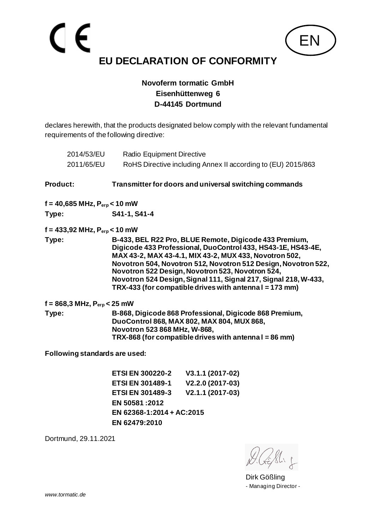

declares herewith, that the products designated below comply with the relevant fundamental requirements of the following directive:

| 2014/53/EU<br>2011/65/EU                                 | Radio Equipment Directive                                                                                                                                                                                                                                                                                                                                                                                                           | RoHS Directive including Annex II according to (EU) 2015/863                                                                                                   |  |
|----------------------------------------------------------|-------------------------------------------------------------------------------------------------------------------------------------------------------------------------------------------------------------------------------------------------------------------------------------------------------------------------------------------------------------------------------------------------------------------------------------|----------------------------------------------------------------------------------------------------------------------------------------------------------------|--|
| Product:                                                 |                                                                                                                                                                                                                                                                                                                                                                                                                                     | Transmitter for doors and universal switching commands                                                                                                         |  |
| $f = 40,685 \text{ MHz}, P_{\text{erp}} < 10 \text{ mW}$ |                                                                                                                                                                                                                                                                                                                                                                                                                                     |                                                                                                                                                                |  |
| Type:                                                    | S41-1, S41-4                                                                                                                                                                                                                                                                                                                                                                                                                        |                                                                                                                                                                |  |
| $f = 433,92 \text{ MHz}, P_{erp} < 10 \text{ mW}$        |                                                                                                                                                                                                                                                                                                                                                                                                                                     |                                                                                                                                                                |  |
| Type:                                                    | B-433, BEL R22 Pro, BLUE Remote, Digicode 433 Premium,<br>Digicode 433 Professional, DuoControl 433, HS43-1E, HS43-4E,<br>MAX 43-2, MAX 43-4.1, MIX 43-2, MUX 433, Novotron 502,<br>Novotron 504, Novotron 512, Novotron 512 Design, Novotron 522,<br>Novotron 522 Design, Novotron 523, Novotron 524,<br>Novotron 524 Design, Signal 111, Signal 217, Signal 218, W-433,<br>TRX-433 (for compatible drives with antennal = 173 mm) |                                                                                                                                                                |  |
| $f = 868, 3 \text{ MHz}, P_{\text{erp}} < 25 \text{ mW}$ |                                                                                                                                                                                                                                                                                                                                                                                                                                     |                                                                                                                                                                |  |
| Type:<br>Novotron 523 868 MHz, W-868,                    |                                                                                                                                                                                                                                                                                                                                                                                                                                     | B-868, Digicode 868 Professional, Digicode 868 Premium,<br>DuoControl 868, MAX 802, MAX 804, MUX 868,<br>TRX-868 (for compatible drives with antennal = 86 mm) |  |
| Following standards are used:                            |                                                                                                                                                                                                                                                                                                                                                                                                                                     |                                                                                                                                                                |  |
|                                                          | <b>ETSI EN 300220-2</b>                                                                                                                                                                                                                                                                                                                                                                                                             | V3.1.1 (2017-02)                                                                                                                                               |  |
|                                                          | <b>ETSI EN 301489-1</b>                                                                                                                                                                                                                                                                                                                                                                                                             | V2.2.0 (2017-03)                                                                                                                                               |  |
|                                                          | <b>ETSI EN 301489-3</b>                                                                                                                                                                                                                                                                                                                                                                                                             | V2.1.1 (2017-03)                                                                                                                                               |  |
|                                                          | EN 50581:2012                                                                                                                                                                                                                                                                                                                                                                                                                       |                                                                                                                                                                |  |
|                                                          | EN 62368-1:2014 + AC:2015                                                                                                                                                                                                                                                                                                                                                                                                           |                                                                                                                                                                |  |
|                                                          | EN 62479:2010                                                                                                                                                                                                                                                                                                                                                                                                                       |                                                                                                                                                                |  |

Dirk Gößling - Managing Director -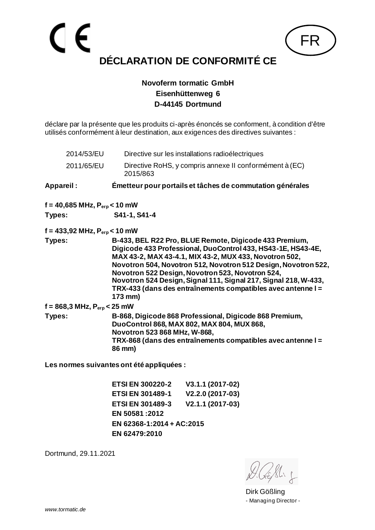

déclare par la présente que les produits ci-après énoncés se conforment, à condition d'être utilisés conformément à leur destination, aux exigences des directives suivantes :

| 2014/53/EU                                               | Directive sur les installations radioélectriques                                                                                                                                                                                                                                                                                                                                                                                                     |
|----------------------------------------------------------|------------------------------------------------------------------------------------------------------------------------------------------------------------------------------------------------------------------------------------------------------------------------------------------------------------------------------------------------------------------------------------------------------------------------------------------------------|
| 2011/65/EU                                               | Directive RoHS, y compris annexe II conformément à (EC)<br>2015/863                                                                                                                                                                                                                                                                                                                                                                                  |
| Appareil:                                                | Émetteur pour portails et tâches de commutation générales                                                                                                                                                                                                                                                                                                                                                                                            |
| $f = 40,685 \text{ MHz}, P_{erp} < 10 \text{ mW}$        |                                                                                                                                                                                                                                                                                                                                                                                                                                                      |
| Types:                                                   | S41-1, S41-4                                                                                                                                                                                                                                                                                                                                                                                                                                         |
| $f = 433,92$ MHz, $P_{\text{erp}} < 10$ mW               |                                                                                                                                                                                                                                                                                                                                                                                                                                                      |
| Types:                                                   | B-433, BEL R22 Pro, BLUE Remote, Digicode 433 Premium,<br>Digicode 433 Professional, DuoControl 433, HS43-1E, HS43-4E,<br>MAX 43-2, MAX 43-4.1, MIX 43-2, MUX 433, Novotron 502,<br>Novotron 504, Novotron 512, Novotron 512 Design, Novotron 522,<br>Novotron 522 Design, Novotron 523, Novotron 524,<br>Novotron 524 Design, Signal 111, Signal 217, Signal 218, W-433,<br>TRX-433 (dans des entraînements compatibles avec antenne I =<br>173 mm) |
| $f = 868, 3 \text{ MHz}, P_{\text{erp}} < 25 \text{ mW}$ |                                                                                                                                                                                                                                                                                                                                                                                                                                                      |
| Types:                                                   | B-868, Digicode 868 Professional, Digicode 868 Premium,<br>DuoControl 868, MAX 802, MAX 804, MUX 868,<br>Novotron 523 868 MHz, W-868,<br>TRX-868 (dans des entraînements compatibles avec antenne I =<br>86 mm)                                                                                                                                                                                                                                      |

**Les normes suivantes ont été appliquées :**

**ETSI EN 300220-2 V3.1.1 (2017-02) ETSI EN 301489-1 V2.2.0 (2017-03) ETSI EN 301489-3 V2.1.1 (2017-03) EN 50581 :2012 EN 62368-1:2014 + AC:2015 EN 62479:2010**

Dirk Gößling - Managing Director -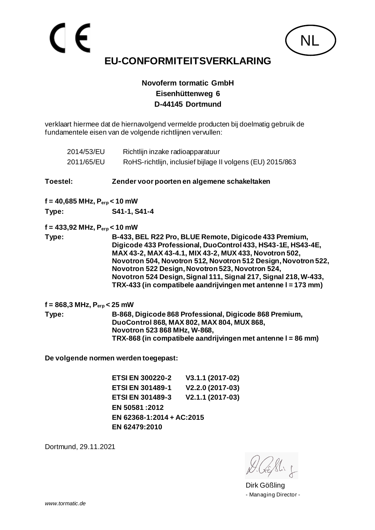**Novoferm tormatic GmbH Eisenhüttenweg 6 D-44145 Dortmund**

verklaart hiermee dat de hiernavolgend vermelde producten bij doelmatig gebruik de fundamentele eisen van de volgende richtlijnen vervullen:

|          | 2014/53/EU<br>2011/65/EU                                 | Richtlijn inzake radioapparatuur     | RoHS-richtlijn, inclusief bijlage II volgens (EU) 2015/863                                                                                                                                                                                                                                                                                                                                                                                 |  |
|----------|----------------------------------------------------------|--------------------------------------|--------------------------------------------------------------------------------------------------------------------------------------------------------------------------------------------------------------------------------------------------------------------------------------------------------------------------------------------------------------------------------------------------------------------------------------------|--|
| Toestel: |                                                          |                                      | Zender voor poorten en algemene schakeltaken                                                                                                                                                                                                                                                                                                                                                                                               |  |
|          | $f = 40,685 \text{ MHz}, P_{\text{erp}} < 10 \text{ mW}$ |                                      |                                                                                                                                                                                                                                                                                                                                                                                                                                            |  |
| Type:    |                                                          | S41-1, S41-4                         |                                                                                                                                                                                                                                                                                                                                                                                                                                            |  |
|          | $f = 433,92 \text{ MHz}, P_{\text{erp}} < 10 \text{ mW}$ |                                      |                                                                                                                                                                                                                                                                                                                                                                                                                                            |  |
| Type:    |                                                          |                                      | B-433, BEL R22 Pro, BLUE Remote, Digicode 433 Premium,<br>Digicode 433 Professional, DuoControl 433, HS43-1E, HS43-4E,<br>MAX 43-2, MAX 43-4.1, MIX 43-2, MUX 433, Novotron 502,<br>Novotron 504, Novotron 512, Novotron 512 Design, Novotron 522,<br>Novotron 522 Design, Novotron 523, Novotron 524,<br>Novotron 524 Design, Signal 111, Signal 217, Signal 218, W-433,<br>TRX-433 (in compatibele aandrijvingen met antenne I = 173 mm) |  |
|          | $f = 868,3 \text{ MHz}, P_{\text{erp}} < 25 \text{ mW}$  |                                      |                                                                                                                                                                                                                                                                                                                                                                                                                                            |  |
| Type:    |                                                          | Novotron 523 868 MHz, W-868,         | B-868, Digicode 868 Professional, Digicode 868 Premium,<br>DuoControl 868, MAX 802, MAX 804, MUX 868,<br>TRX-868 (in compatibele aandrijvingen met antenne I = 86 mm)                                                                                                                                                                                                                                                                      |  |
|          |                                                          | De volgende normen werden toegepast: |                                                                                                                                                                                                                                                                                                                                                                                                                                            |  |
|          |                                                          | <b>ETSI EN 300220-2</b>              | V3.1.1 (2017-02)                                                                                                                                                                                                                                                                                                                                                                                                                           |  |
|          |                                                          | <b>ETSI EN 301489-1</b>              | V2.2.0 (2017-03)                                                                                                                                                                                                                                                                                                                                                                                                                           |  |

**ETSI EN 301489-3 V2.1.1 (2017-03)**

**EN 50581 :2012 EN 62368-1:2014 + AC:2015 EN 62479:2010**

Dortmund, 29.11.2021

NL

Dirk Gößling - Managing Director -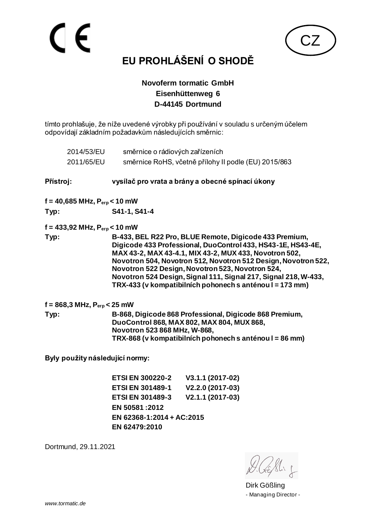

# **EU PROHLÁŠENÍ O SHODĚ**

#### **Novoferm tormatic GmbH Eisenhüttenweg 6 D-44145 Dortmund**

tímto prohlašuje, že níže uvedené výrobky při používání v souladu s určeným účelem odpovídají základním požadavkům následujících směrnic:

| 2014/53/EU                                               | směrnice o rádiových zařízeních                                                                                                                                                                                                                                                                                                                                                                                                       |                                                      |  |
|----------------------------------------------------------|---------------------------------------------------------------------------------------------------------------------------------------------------------------------------------------------------------------------------------------------------------------------------------------------------------------------------------------------------------------------------------------------------------------------------------------|------------------------------------------------------|--|
| 2011/65/EU                                               |                                                                                                                                                                                                                                                                                                                                                                                                                                       | směrnice RoHS, včetně přílohy II podle (EU) 2015/863 |  |
| Přístroj:                                                |                                                                                                                                                                                                                                                                                                                                                                                                                                       | vysílač pro vrata a brány a obecné spínací úkony     |  |
| $f = 40,685 \text{ MHz}, P_{\text{erp}} < 10 \text{ mW}$ |                                                                                                                                                                                                                                                                                                                                                                                                                                       |                                                      |  |
| Typ:                                                     | S41-1, S41-4                                                                                                                                                                                                                                                                                                                                                                                                                          |                                                      |  |
| $f = 433,92$ MHz, $P_{exp} < 10$ mW                      |                                                                                                                                                                                                                                                                                                                                                                                                                                       |                                                      |  |
| Typ:                                                     | B-433, BEL R22 Pro, BLUE Remote, Digicode 433 Premium,<br>Digicode 433 Professional, DuoControl 433, HS43-1E, HS43-4E,<br>MAX 43-2, MAX 43-4.1, MIX 43-2, MUX 433, Novotron 502,<br>Novotron 504, Novotron 512, Novotron 512 Design, Novotron 522,<br>Novotron 522 Design, Novotron 523, Novotron 524,<br>Novotron 524 Design, Signal 111, Signal 217, Signal 218, W-433,<br>TRX-433 (v kompatibilních pohonech s anténou I = 173 mm) |                                                      |  |
| $f = 868, 3 \text{ MHz}, P_{\text{erp}} < 25 \text{ mW}$ |                                                                                                                                                                                                                                                                                                                                                                                                                                       |                                                      |  |
| Typ:                                                     | B-868, Digicode 868 Professional, Digicode 868 Premium,<br>DuoControl 868, MAX 802, MAX 804, MUX 868,<br>Novotron 523 868 MHz, W-868,<br>TRX-868 (v kompatibilních pohonech s anténou I = 86 mm)                                                                                                                                                                                                                                      |                                                      |  |
| Byly použity následující normy:                          |                                                                                                                                                                                                                                                                                                                                                                                                                                       |                                                      |  |
|                                                          | <b>ETSI EN 300220-2</b>                                                                                                                                                                                                                                                                                                                                                                                                               | V3.1.1 (2017-02)                                     |  |
|                                                          | <b>ETSI EN 301489-1</b>                                                                                                                                                                                                                                                                                                                                                                                                               | V2.2.0 (2017-03)                                     |  |

**ETSI EN 301489-3 V2.1.1 (2017-03)**

**EN 50581 :2012 EN 62368-1:2014 + AC:2015 EN 62479:2010**

Dirk Gößling - Managing Director -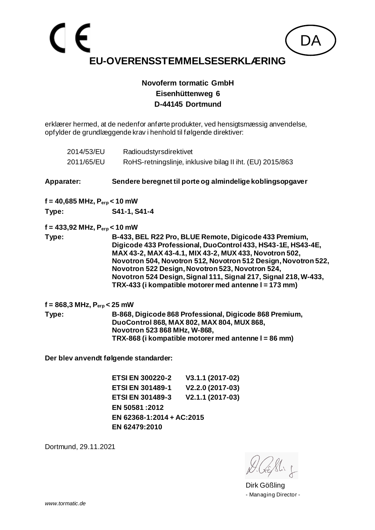erklærer hermed, at de nedenfor anførte produkter, ved hensigtsmæssig anvendelse, opfylder de grundlæggende krav i henhold til følgende direktiver:

| 2014/53/EU                                               | Radioudstyrsdirektivet                                                                                                                                                                                                                                                                                                                                                                                                             |  |
|----------------------------------------------------------|------------------------------------------------------------------------------------------------------------------------------------------------------------------------------------------------------------------------------------------------------------------------------------------------------------------------------------------------------------------------------------------------------------------------------------|--|
| 2011/65/EU                                               | RoHS-retningslinje, inklusive bilag II iht. (EU) 2015/863                                                                                                                                                                                                                                                                                                                                                                          |  |
| <b>Apparater:</b>                                        | Sendere beregnet til porte og almindelige koblingsopgaver                                                                                                                                                                                                                                                                                                                                                                          |  |
| $f = 40,685 \text{ MHz}, P_{\text{erp}} < 10 \text{ mW}$ |                                                                                                                                                                                                                                                                                                                                                                                                                                    |  |
| Type:                                                    | S41-1, S41-4                                                                                                                                                                                                                                                                                                                                                                                                                       |  |
| $f = 433,92$ MHz, $P_{\text{erp}} < 10$ mW               |                                                                                                                                                                                                                                                                                                                                                                                                                                    |  |
| Type:                                                    | B-433, BEL R22 Pro, BLUE Remote, Digicode 433 Premium,<br>Digicode 433 Professional, DuoControl 433, HS43-1E, HS43-4E,<br>MAX 43-2, MAX 43-4.1, MIX 43-2, MUX 433, Novotron 502,<br>Novotron 504, Novotron 512, Novotron 512 Design, Novotron 522,<br>Novotron 522 Design, Novotron 523, Novotron 524,<br>Novotron 524 Design, Signal 111, Signal 217, Signal 218, W-433,<br>TRX-433 (i kompatible motorer med antenne I = 173 mm) |  |
| $f = 868, 3 \text{ MHz}, P_{\text{erp}} < 25 \text{ mW}$ |                                                                                                                                                                                                                                                                                                                                                                                                                                    |  |
| Type:                                                    | B-868, Digicode 868 Professional, Digicode 868 Premium,<br>DuoControl 868, MAX 802, MAX 804, MUX 868,<br>Novotron 523 868 MHz, W-868,<br>TRX-868 (i kompatible motorer med antenne I = 86 mm)                                                                                                                                                                                                                                      |  |
|                                                          | Der blev anvendt følgende standarder:                                                                                                                                                                                                                                                                                                                                                                                              |  |
|                                                          | <b>ETSI EN 300220-2</b><br>V3.1.1 (2017-02)                                                                                                                                                                                                                                                                                                                                                                                        |  |
|                                                          | V2.2.0 (2017-03)<br><b>ETSI EN 301489-1</b>                                                                                                                                                                                                                                                                                                                                                                                        |  |
|                                                          | V2.1.1 (2017-03)<br><b>ETSI EN 301489-3</b><br>EN 50581:2012                                                                                                                                                                                                                                                                                                                                                                       |  |
|                                                          | EN 62368-1:2014 + AC:2015                                                                                                                                                                                                                                                                                                                                                                                                          |  |

Dortmund, 29.11.2021

**EN 62479:2010**

Dirk Gößling - Managing Director -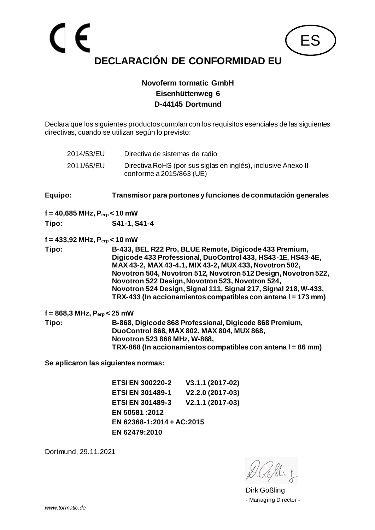

Declara que los siguientes productos cumplan con los requisitos esenciales de las siguientes directivas, cuando se utilizan según lo previsto:

2014/53/EU Directiva de sistemas de radio 2011/65/EU Directiva RoHS (por sus siglas en inglés), inclusive Anexo II conforme a 2015/863 (UE)

**Equipo: Transmisor para portones y funciones de conmutación generales**

**f = 40,685 MHz, Perp < 10 mW**

**Tipo: S41-1, S41-4**

**f = 433,92 MHz, Perp < 10 mW**

**Tipo: B-433, BEL R22 Pro, BLUE Remote, Digicode 433 Premium, Digicode 433 Professional, DuoControl 433, HS43-1E, HS43-4E, MAX 43-2, MAX 43-4.1, MIX 43-2, MUX 433, Novotron 502, Novotron 504, Novotron 512, Novotron 512 Design, Novotron 522, Novotron 522 Design, Novotron 523, Novotron 524, Novotron 524 Design, Signal 111, Signal 217, Signal 218, W-433, TRX-433 (In accionamientos compatibles con antena l = 173 mm)**

**f = 868,3 MHz, Perp < 25 mW Tipo: B-868, Digicode 868 Professional, Digicode 868 Premium, DuoControl 868, MAX 802, MAX 804, MUX 868, Novotron 523 868 MHz, W-868, TRX-868 (In accionamientos compatibles con antena l = 86 mm)**

**Se aplicaron las siguientes normas:**

**ETSI EN 300220-2 V3.1.1 (2017-02) ETSI EN 301489-1 V2.2.0 (2017-03) ETSI EN 301489-3 V2.1.1 (2017-03) EN 50581 :2012 EN 62368-1:2014 + AC:2015 EN 62479:2010**

Dirk Gößling - Managing Director -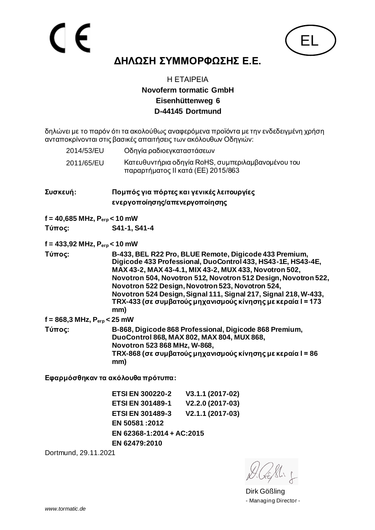

# **ΔΗΛΩΣΗ ΣΥΜΜΟΡΦΩΣΗΣ Ε.Ε.**

#### Η ΕΤΑΙΡΕΙΑ **Novoferm tormatic GmbH Eisenhüttenweg 6 D-44145 Dortmund**

δηλώνει με το παρόν ότι τα ακολούθως αναφερόμενα προϊόντα με την ενδεδειγμένη χρήση ανταποκρίνονται στις βασικές απαιτήσεις των ακόλουθων Οδηγιών:

| 2014/53/EU                                               | Οδηγία ραδιοεγκαταστάσεων                                                                                                                                                                                                                                                                                                                                                                                                                       |  |
|----------------------------------------------------------|-------------------------------------------------------------------------------------------------------------------------------------------------------------------------------------------------------------------------------------------------------------------------------------------------------------------------------------------------------------------------------------------------------------------------------------------------|--|
| 2011/65/EU                                               | Κατευθυντήρια οδηγία RoHS, συμπεριλαμβανομένου του<br>παραρτήματος ΙΙ κατά (ΕΕ) 2015/863                                                                                                                                                                                                                                                                                                                                                        |  |
| Συσκευή:                                                 | Πομπός για πόρτες και γενικές λειτουργίες<br>ενεργοποίησης/απενεργοποίησης                                                                                                                                                                                                                                                                                                                                                                      |  |
| $f = 40,685 \text{ MHz}, P_{\text{erp}} < 10 \text{ mW}$ |                                                                                                                                                                                                                                                                                                                                                                                                                                                 |  |
| Τύπος:                                                   | S41-1, S41-4                                                                                                                                                                                                                                                                                                                                                                                                                                    |  |
| $f = 433,92 \text{ MHz}, P_{\text{erp}} < 10 \text{ mW}$ |                                                                                                                                                                                                                                                                                                                                                                                                                                                 |  |
| Τύπος:                                                   | B-433, BEL R22 Pro, BLUE Remote, Digicode 433 Premium,<br>Digicode 433 Professional, DuoControl 433, HS43-1E, HS43-4E,<br>MAX 43-2, MAX 43-4.1, MIX 43-2, MUX 433, Novotron 502,<br>Novotron 504, Novotron 512, Novotron 512 Design, Novotron 522,<br>Novotron 522 Design, Novotron 523, Novotron 524,<br>Novotron 524 Design, Signal 111, Signal 217, Signal 218, W-433,<br>TRX-433 (σε συμβατούς μηχανισμούς κίνησης με κεραία I = 173<br>mm) |  |
| $f = 868, 3 \text{ MHz}, P_{\text{erp}} < 25 \text{ mW}$ |                                                                                                                                                                                                                                                                                                                                                                                                                                                 |  |
| Τύπος:                                                   | B-868, Digicode 868 Professional, Digicode 868 Premium,<br>DuoControl 868, MAX 802, MAX 804, MUX 868,<br>Novotron 523 868 MHz, W-868,<br>TRX-868 (σε συμβατούς μηχανισμούς κίνησης με κεραία I = 86<br>mm)                                                                                                                                                                                                                                      |  |
|                                                          |                                                                                                                                                                                                                                                                                                                                                                                                                                                 |  |

**Εφαρμόσθηκαν τα ακόλουθα πρότυπα:**

**ETSI EN 300220-2 V3.1.1 (2017-02) ETSI EN 301489-1 V2.2.0 (2017-03) ETSI EN 301489-3 V2.1.1 (2017-03) EN 50581 :2012 EN 62368-1:2014 + AC:2015 EN 62479:2010**

Dirk Gößling - Managing Director -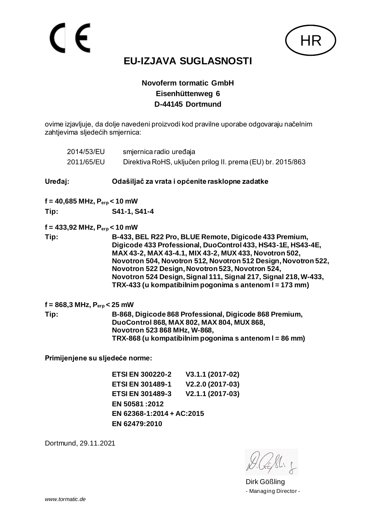

## **EU-IZJAVA SUGLASNOSTI**

#### **Novoferm tormatic GmbH Eisenhüttenweg 6 D-44145 Dortmund**

ovime izjavljuje, da dolje navedeni proizvodi kod pravilne uporabe odgovaraju načelnim zahtjevima sljedećih smjernica:

|         | 2014/53/EU<br>2011/65/EU                                 | smjernica radio uređaja                                                                                                                                                                                                                                                                                                                                                                                                              | Direktiva RoHS, uključen prilog II. prema (EU) br. 2015/863 |  |
|---------|----------------------------------------------------------|--------------------------------------------------------------------------------------------------------------------------------------------------------------------------------------------------------------------------------------------------------------------------------------------------------------------------------------------------------------------------------------------------------------------------------------|-------------------------------------------------------------|--|
|         |                                                          |                                                                                                                                                                                                                                                                                                                                                                                                                                      |                                                             |  |
| Uređaj: |                                                          |                                                                                                                                                                                                                                                                                                                                                                                                                                      | Odašiljač za vrata i općenite rasklopne zadatke             |  |
|         | f = 40,685 MHz, $P_{\text{erp}}$ < 10 mW                 |                                                                                                                                                                                                                                                                                                                                                                                                                                      |                                                             |  |
| Tip:    |                                                          | S41-1, S41-4                                                                                                                                                                                                                                                                                                                                                                                                                         |                                                             |  |
|         | $f = 433,92 \text{ MHz}, P_{\text{erp}} < 10 \text{ mW}$ |                                                                                                                                                                                                                                                                                                                                                                                                                                      |                                                             |  |
| Tip:    |                                                          | B-433, BEL R22 Pro, BLUE Remote, Digicode 433 Premium,<br>Digicode 433 Professional, DuoControl 433, HS43-1E, HS43-4E,<br>MAX 43-2, MAX 43-4.1, MIX 43-2, MUX 433, Novotron 502,<br>Novotron 504, Novotron 512, Novotron 512 Design, Novotron 522,<br>Novotron 522 Design, Novotron 523, Novotron 524,<br>Novotron 524 Design, Signal 111, Signal 217, Signal 218, W-433,<br>TRX-433 (u kompatibilnim pogonima s antenom I = 173 mm) |                                                             |  |
|         | f = 868,3 MHz, $P_{\text{erp}}$ < 25 mW                  |                                                                                                                                                                                                                                                                                                                                                                                                                                      |                                                             |  |
| Tip:    |                                                          | B-868, Digicode 868 Professional, Digicode 868 Premium,<br>DuoControl 868, MAX 802, MAX 804, MUX 868,<br>Novotron 523 868 MHz, W-868,<br>TRX-868 (u kompatibilnim pogonima s antenom I = 86 mm)                                                                                                                                                                                                                                      |                                                             |  |
|         |                                                          | Primijenjene su sljedeće norme:                                                                                                                                                                                                                                                                                                                                                                                                      |                                                             |  |
|         |                                                          | <b>ETSI EN 300220-2</b>                                                                                                                                                                                                                                                                                                                                                                                                              | V3.1.1 (2017-02)                                            |  |
|         |                                                          | ETSI EN 301489-1 V2.2.0 (2017-03)                                                                                                                                                                                                                                                                                                                                                                                                    |                                                             |  |
|         |                                                          | <b>ETSI EN 301489-3</b>                                                                                                                                                                                                                                                                                                                                                                                                              | V2.1.1 (2017-03)                                            |  |
|         |                                                          | EN 50581:2012                                                                                                                                                                                                                                                                                                                                                                                                                        |                                                             |  |
|         |                                                          | EN 62368-1:2014 + AC:2015                                                                                                                                                                                                                                                                                                                                                                                                            |                                                             |  |

**EN 62479:2010**

Dirk Gößling - Managing Director -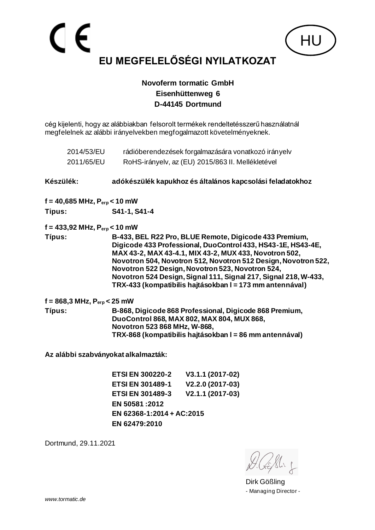cég kijelenti, hogy az alábbiakban felsorolt termékek rendeltetésszerű használatnál megfelelnek az alábbi irányelvekben megfogalmazott követelményeknek.

|           | 2014/53/EU<br>2011/65/EU                                 |                                                                                                                                                                                                  | rádióberendezések forgalmazására vonatkozó irányelv<br>RoHS-irányelv, az (EU) 2015/863 II. Mellékletével                                                                                                                                                                                                                                                                                                                              |
|-----------|----------------------------------------------------------|--------------------------------------------------------------------------------------------------------------------------------------------------------------------------------------------------|---------------------------------------------------------------------------------------------------------------------------------------------------------------------------------------------------------------------------------------------------------------------------------------------------------------------------------------------------------------------------------------------------------------------------------------|
| Készülék: |                                                          |                                                                                                                                                                                                  | adókészülék kapukhoz és általános kapcsolási feladatokhoz                                                                                                                                                                                                                                                                                                                                                                             |
|           | $f = 40,685 \text{ MHz}, P_{\text{erp}} < 10 \text{ mW}$ |                                                                                                                                                                                                  |                                                                                                                                                                                                                                                                                                                                                                                                                                       |
| Tipus:    |                                                          | S41-1, S41-4                                                                                                                                                                                     |                                                                                                                                                                                                                                                                                                                                                                                                                                       |
|           | $f = 433,92$ MHz, $P_{\text{erp}} < 10$ mW               |                                                                                                                                                                                                  |                                                                                                                                                                                                                                                                                                                                                                                                                                       |
| Típus:    |                                                          |                                                                                                                                                                                                  | B-433, BEL R22 Pro, BLUE Remote, Digicode 433 Premium,<br>Digicode 433 Professional, DuoControl 433, HS43-1E, HS43-4E,<br>MAX 43-2, MAX 43-4.1, MIX 43-2, MUX 433, Novotron 502,<br>Novotron 504, Novotron 512, Novotron 512 Design, Novotron 522,<br>Novotron 522 Design, Novotron 523, Novotron 524,<br>Novotron 524 Design, Signal 111, Signal 217, Signal 218, W-433,<br>TRX-433 (kompatibilis hajtásokban I = 173 mm antennával) |
|           | $f = 868, 3 \text{ MHz}, P_{\text{erp}} < 25 \text{ mW}$ |                                                                                                                                                                                                  |                                                                                                                                                                                                                                                                                                                                                                                                                                       |
| Típus:    |                                                          | B-868, Digicode 868 Professional, Digicode 868 Premium,<br>DuoControl 868, MAX 802, MAX 804, MUX 868,<br>Novotron 523 868 MHz, W-868,<br>TRX-868 (kompatibilis hajtásokban I = 86 mm antennával) |                                                                                                                                                                                                                                                                                                                                                                                                                                       |
|           |                                                          | Az alábbi szabványokat alkalmazták:                                                                                                                                                              |                                                                                                                                                                                                                                                                                                                                                                                                                                       |
|           |                                                          | <b>ETSI EN 300220-2</b>                                                                                                                                                                          | V3.1.1 (2017-02)                                                                                                                                                                                                                                                                                                                                                                                                                      |
|           |                                                          | <b>ETSI EN 301489-1</b>                                                                                                                                                                          | V2.2.0 (2017-03)                                                                                                                                                                                                                                                                                                                                                                                                                      |
|           |                                                          | <b>ETSI EN 301489-3</b>                                                                                                                                                                          | V2.1.1 (2017-03)                                                                                                                                                                                                                                                                                                                                                                                                                      |
|           |                                                          | EN 50581:2012                                                                                                                                                                                    |                                                                                                                                                                                                                                                                                                                                                                                                                                       |
|           |                                                          | EN 62368-1:2014 + AC:2015                                                                                                                                                                        |                                                                                                                                                                                                                                                                                                                                                                                                                                       |

Dortmund, 29.11.2021

**EN 62479:2010**

HU

Dirk Gößling - Managing Director -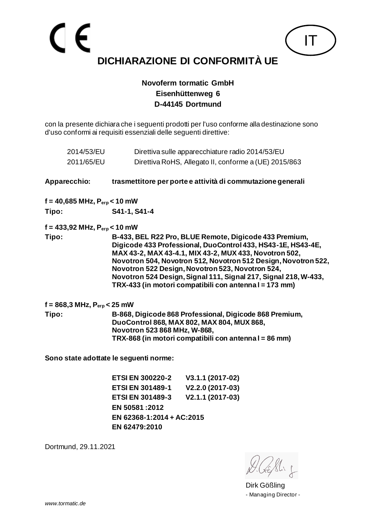**Novoferm tormatic GmbH Eisenhüttenweg 6 D-44145 Dortmund**

con la presente dichiara che i seguenti prodotti per l'uso conforme alla destinazione sono d'uso conformi ai requisiti essenziali delle seguenti direttive:

| 2014/53/EU                                               |                                                                                                                                                                                                | Direttiva sulle apparecchiature radio 2014/53/EU                                                                                                                                                                                                                                                                                                                                                                                    |
|----------------------------------------------------------|------------------------------------------------------------------------------------------------------------------------------------------------------------------------------------------------|-------------------------------------------------------------------------------------------------------------------------------------------------------------------------------------------------------------------------------------------------------------------------------------------------------------------------------------------------------------------------------------------------------------------------------------|
| 2011/65/EU                                               |                                                                                                                                                                                                | Direttiva RoHS, Allegato II, conforme a (UE) 2015/863                                                                                                                                                                                                                                                                                                                                                                               |
| Apparecchio:                                             |                                                                                                                                                                                                | trasmettitore per porte e attività di commutazione generali                                                                                                                                                                                                                                                                                                                                                                         |
| $f = 40,685 \text{ MHz}, P_{\text{erp}} < 10 \text{ mW}$ |                                                                                                                                                                                                |                                                                                                                                                                                                                                                                                                                                                                                                                                     |
| Tipo:                                                    | S41-1, S41-4                                                                                                                                                                                   |                                                                                                                                                                                                                                                                                                                                                                                                                                     |
| $f = 433,92$ MHz, $P_{\text{erp}} < 10$ mW               |                                                                                                                                                                                                |                                                                                                                                                                                                                                                                                                                                                                                                                                     |
| Tipo:                                                    |                                                                                                                                                                                                | B-433, BEL R22 Pro, BLUE Remote, Digicode 433 Premium,<br>Digicode 433 Professional, DuoControl 433, HS43-1E, HS43-4E,<br>MAX 43-2, MAX 43-4.1, MIX 43-2, MUX 433, Novotron 502,<br>Novotron 504, Novotron 512, Novotron 512 Design, Novotron 522,<br>Novotron 522 Design, Novotron 523, Novotron 524,<br>Novotron 524 Design, Signal 111, Signal 217, Signal 218, W-433,<br>TRX-433 (in motori compatibili con antenna I = 173 mm) |
| $f = 868, 3 \text{ MHz}, P_{\text{erp}} < 25 \text{ mW}$ |                                                                                                                                                                                                |                                                                                                                                                                                                                                                                                                                                                                                                                                     |
| Tipo:                                                    | B-868, Digicode 868 Professional, Digicode 868 Premium,<br>DuoControl 868, MAX 802, MAX 804, MUX 868,<br>Novotron 523 868 MHz, W-868,<br>TRX-868 (in motori compatibili con antenna I = 86 mm) |                                                                                                                                                                                                                                                                                                                                                                                                                                     |
|                                                          | Sono state adottate le seguenti norme:                                                                                                                                                         |                                                                                                                                                                                                                                                                                                                                                                                                                                     |
|                                                          | <b>ETSI EN 300220-2</b>                                                                                                                                                                        | V3.1.1 (2017-02)                                                                                                                                                                                                                                                                                                                                                                                                                    |
|                                                          | <b>ETSI EN 301489-1</b>                                                                                                                                                                        | V2.2.0 (2017-03)                                                                                                                                                                                                                                                                                                                                                                                                                    |
|                                                          | <b>ETSI EN 301489-3</b>                                                                                                                                                                        | V2.1.1 (2017-03)                                                                                                                                                                                                                                                                                                                                                                                                                    |

**EN 50581 :2012 EN 62368-1:2014 + AC:2015 EN 62479:2010**

Dortmund, 29.11.2021

IT

Dirk Gößling - Managing Director -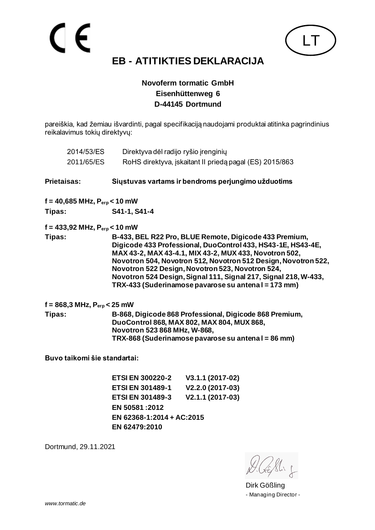# **EB - ATITIKTIES DEKLARACIJA**

#### **Novoferm tormatic GmbH Eisenhüttenweg 6 D-44145 Dortmund**

pareiškia, kad žemiau išvardinti, pagal specifikaciją naudojami produktai atitinka pagrindinius reikalavimus tokių direktyvų:

| 2014/53/ES                                                                                                                                                                                                                                                                                                                                                                                                                                 | Direktyva dėl radijo ryšio įrenginių                                                                                                                                                         |                                                         |
|--------------------------------------------------------------------------------------------------------------------------------------------------------------------------------------------------------------------------------------------------------------------------------------------------------------------------------------------------------------------------------------------------------------------------------------------|----------------------------------------------------------------------------------------------------------------------------------------------------------------------------------------------|---------------------------------------------------------|
| 2011/65/ES                                                                                                                                                                                                                                                                                                                                                                                                                                 |                                                                                                                                                                                              | RoHS direktyva, įskaitant II priedą pagal (ES) 2015/863 |
| <b>Prietaisas:</b>                                                                                                                                                                                                                                                                                                                                                                                                                         |                                                                                                                                                                                              | Siųstuvas vartams ir bendroms perjungimo užduotims      |
| $f = 40,685 \text{ MHz}, P_{erp} < 10 \text{ mW}$                                                                                                                                                                                                                                                                                                                                                                                          |                                                                                                                                                                                              |                                                         |
| Tipas:                                                                                                                                                                                                                                                                                                                                                                                                                                     | S41-1, S41-4                                                                                                                                                                                 |                                                         |
| $f = 433,92 \text{ MHz}, P_{erp} < 10 \text{ mW}$                                                                                                                                                                                                                                                                                                                                                                                          |                                                                                                                                                                                              |                                                         |
| B-433, BEL R22 Pro, BLUE Remote, Digicode 433 Premium,<br>Tipas:<br>Digicode 433 Professional, DuoControl 433, HS43-1E, HS43-4E,<br>MAX 43-2, MAX 43-4.1, MIX 43-2, MUX 433, Novotron 502,<br>Novotron 504, Novotron 512, Novotron 512 Design, Novotron 522,<br>Novotron 522 Design, Novotron 523, Novotron 524,<br>Novotron 524 Design, Signal 111, Signal 217, Signal 218, W-433,<br>TRX-433 (Suderinamose pavarose su antenal = 173 mm) |                                                                                                                                                                                              |                                                         |
| $f = 868, 3 \text{ MHz}, P_{\text{erp}} < 25 \text{ mW}$                                                                                                                                                                                                                                                                                                                                                                                   |                                                                                                                                                                                              |                                                         |
| Tipas:                                                                                                                                                                                                                                                                                                                                                                                                                                     | B-868, Digicode 868 Professional, Digicode 868 Premium,<br>DuoControl 868, MAX 802, MAX 804, MUX 868,<br>Novotron 523 868 MHz, W-868,<br>TRX-868 (Suderinamose pavarose su antena I = 86 mm) |                                                         |
| Buvo taikomi šie standartai:                                                                                                                                                                                                                                                                                                                                                                                                               |                                                                                                                                                                                              |                                                         |
|                                                                                                                                                                                                                                                                                                                                                                                                                                            | <b>ETSI EN 300220-2</b>                                                                                                                                                                      | V3.1.1 (2017-02)                                        |
|                                                                                                                                                                                                                                                                                                                                                                                                                                            | <b>ETSI EN 301489-1</b>                                                                                                                                                                      | V2.2.0 (2017-03)                                        |
|                                                                                                                                                                                                                                                                                                                                                                                                                                            | <b>ETSI EN 301489-3</b>                                                                                                                                                                      | V2.1.1 (2017-03)                                        |
|                                                                                                                                                                                                                                                                                                                                                                                                                                            | EN 50581:2012                                                                                                                                                                                |                                                         |
|                                                                                                                                                                                                                                                                                                                                                                                                                                            | EN 62368-1:2014 + AC:2015                                                                                                                                                                    |                                                         |
|                                                                                                                                                                                                                                                                                                                                                                                                                                            |                                                                                                                                                                                              |                                                         |

**EN 62479:2010**

Dortmund, 29.11.2021

CE

Dirk Gößling - Managing Director -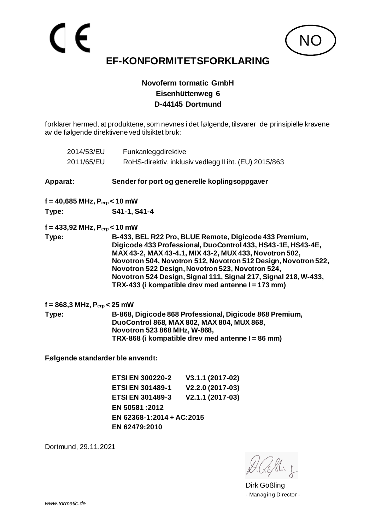**Novoferm tormatic GmbH Eisenhüttenweg 6 D-44145 Dortmund**

forklarer hermed, at produktene, som nevnes i det følgende, tilsvarer de prinsipielle kravene av de følgende direktivene ved tilsiktet bruk:

| 2014/53/EU                                               | Funkanleggdirektive                                                                                                                                                                        |                                                                                                                                                                                                                                                                                                                                                                                                                                 |  |
|----------------------------------------------------------|--------------------------------------------------------------------------------------------------------------------------------------------------------------------------------------------|---------------------------------------------------------------------------------------------------------------------------------------------------------------------------------------------------------------------------------------------------------------------------------------------------------------------------------------------------------------------------------------------------------------------------------|--|
| 2011/65/EU                                               |                                                                                                                                                                                            | RoHS-direktiv, inklusiv vedlegg II iht. (EU) 2015/863                                                                                                                                                                                                                                                                                                                                                                           |  |
| Apparat:                                                 |                                                                                                                                                                                            | Sender for port og generelle koplingsoppgaver                                                                                                                                                                                                                                                                                                                                                                                   |  |
| $f = 40,685 \text{ MHz}, P_{\text{erp}} < 10 \text{ mW}$ |                                                                                                                                                                                            |                                                                                                                                                                                                                                                                                                                                                                                                                                 |  |
| Type:                                                    | S41-1, S41-4                                                                                                                                                                               |                                                                                                                                                                                                                                                                                                                                                                                                                                 |  |
| $f = 433,92 \text{ MHz}, P_{\text{erp}} < 10 \text{ mW}$ |                                                                                                                                                                                            |                                                                                                                                                                                                                                                                                                                                                                                                                                 |  |
| Type:                                                    |                                                                                                                                                                                            | B-433, BEL R22 Pro, BLUE Remote, Digicode 433 Premium,<br>Digicode 433 Professional, DuoControl 433, HS43-1E, HS43-4E,<br>MAX 43-2, MAX 43-4.1, MIX 43-2, MUX 433, Novotron 502,<br>Novotron 504, Novotron 512, Novotron 512 Design, Novotron 522,<br>Novotron 522 Design, Novotron 523, Novotron 524,<br>Novotron 524 Design, Signal 111, Signal 217, Signal 218, W-433,<br>TRX-433 (i kompatible drev med antenne I = 173 mm) |  |
| $f = 868,3 \text{ MHz}, P_{\text{erp}} < 25 \text{ mW}$  |                                                                                                                                                                                            |                                                                                                                                                                                                                                                                                                                                                                                                                                 |  |
| Type:                                                    | B-868, Digicode 868 Professional, Digicode 868 Premium,<br>DuoControl 868, MAX 802, MAX 804, MUX 868,<br>Novotron 523 868 MHz, W-868,<br>TRX-868 (i kompatible drev med antenne I = 86 mm) |                                                                                                                                                                                                                                                                                                                                                                                                                                 |  |
| Følgende standarder ble anvendt:                         |                                                                                                                                                                                            |                                                                                                                                                                                                                                                                                                                                                                                                                                 |  |
|                                                          | <b>ETSI EN 300220-2</b>                                                                                                                                                                    | V3.1.1 (2017-02)                                                                                                                                                                                                                                                                                                                                                                                                                |  |
|                                                          | <b>ETSI EN 301489-1</b>                                                                                                                                                                    | V2.2.0 (2017-03)                                                                                                                                                                                                                                                                                                                                                                                                                |  |
|                                                          | <b>ETSI EN 301489-3</b>                                                                                                                                                                    | V2.1.1 (2017-03)                                                                                                                                                                                                                                                                                                                                                                                                                |  |
|                                                          | EN 50581:2012                                                                                                                                                                              |                                                                                                                                                                                                                                                                                                                                                                                                                                 |  |
|                                                          |                                                                                                                                                                                            |                                                                                                                                                                                                                                                                                                                                                                                                                                 |  |

**EN 62368-1:2014 + AC:2015**

**EN 62479:2010**

Dortmund, 29.11.2021

**NC** 

Dirk Gößling - Managing Director -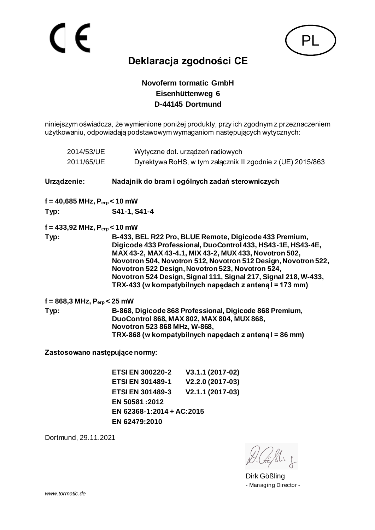

# **Deklaracja zgodności CE**

#### **Novoferm tormatic GmbH Eisenhüttenweg 6 D-44145 Dortmund**

niniejszym oświadcza, że wymienione poniżej produkty, przy ich zgodnym z przeznaczeniem użytkowaniu, odpowiadają podstawowym wymaganiom następujących wytycznych:

| 2014/53/UE<br>2011/65/UE                                 |                                                                                                                                                                                                 | Wytyczne dot. urządzeń radiowych<br>Dyrektywa RoHS, w tym załącznik II zgodnie z (UE) 2015/863                                                                                                                                                                                                                                                                                                                                       |
|----------------------------------------------------------|-------------------------------------------------------------------------------------------------------------------------------------------------------------------------------------------------|--------------------------------------------------------------------------------------------------------------------------------------------------------------------------------------------------------------------------------------------------------------------------------------------------------------------------------------------------------------------------------------------------------------------------------------|
| Urządzenie:                                              |                                                                                                                                                                                                 | Nadajnik do bram i ogólnych zadań sterowniczych                                                                                                                                                                                                                                                                                                                                                                                      |
| $f = 40,685 \text{ MHz}, P_{erp} < 10 \text{ mW}$        |                                                                                                                                                                                                 |                                                                                                                                                                                                                                                                                                                                                                                                                                      |
| Typ:                                                     | S41-1, S41-4                                                                                                                                                                                    |                                                                                                                                                                                                                                                                                                                                                                                                                                      |
| $f = 433,92 \text{ MHz}, P_{erp} < 10 \text{ mW}$        |                                                                                                                                                                                                 |                                                                                                                                                                                                                                                                                                                                                                                                                                      |
| Typ:                                                     |                                                                                                                                                                                                 | B-433, BEL R22 Pro, BLUE Remote, Digicode 433 Premium,<br>Digicode 433 Professional, DuoControl 433, HS43-1E, HS43-4E,<br>MAX 43-2, MAX 43-4.1, MIX 43-2, MUX 433, Novotron 502,<br>Novotron 504, Novotron 512, Novotron 512 Design, Novotron 522,<br>Novotron 522 Design, Novotron 523, Novotron 524,<br>Novotron 524 Design, Signal 111, Signal 217, Signal 218, W-433,<br>TRX-433 (w kompatybilnych napędach z anteną I = 173 mm) |
| $f = 868, 3 \text{ MHz}, P_{\text{erp}} < 25 \text{ mW}$ |                                                                                                                                                                                                 |                                                                                                                                                                                                                                                                                                                                                                                                                                      |
| Typ:                                                     | B-868, Digicode 868 Professional, Digicode 868 Premium,<br>DuoControl 868, MAX 802, MAX 804, MUX 868,<br>Novotron 523 868 MHz, W-868,<br>TRX-868 (w kompatybilnych napędach z anteną I = 86 mm) |                                                                                                                                                                                                                                                                                                                                                                                                                                      |
| Zastosowano następujące normy:                           |                                                                                                                                                                                                 |                                                                                                                                                                                                                                                                                                                                                                                                                                      |
|                                                          | <b>ETSI EN 300220-2</b>                                                                                                                                                                         | V3.1.1 (2017-02)                                                                                                                                                                                                                                                                                                                                                                                                                     |
|                                                          | <b>ETSI EN 301489-1</b>                                                                                                                                                                         | V2.2.0 (2017-03)                                                                                                                                                                                                                                                                                                                                                                                                                     |
|                                                          | <b>ETSI EN 301489-3</b>                                                                                                                                                                         | V2.1.1 (2017-03)                                                                                                                                                                                                                                                                                                                                                                                                                     |
|                                                          | EN 50581:2012                                                                                                                                                                                   |                                                                                                                                                                                                                                                                                                                                                                                                                                      |
|                                                          | EN 62368-1:2014 + AC:2015                                                                                                                                                                       |                                                                                                                                                                                                                                                                                                                                                                                                                                      |
|                                                          | EN 62479:2010                                                                                                                                                                                   |                                                                                                                                                                                                                                                                                                                                                                                                                                      |

Dirk Gößling - Managing Director -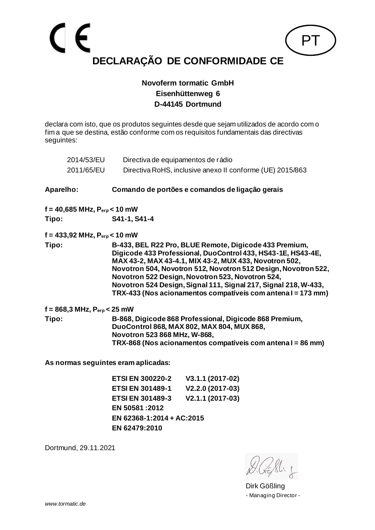

declara com isto, que os produtos seguintes desde que sejam utilizados de acordo com o fim a que se destina, estão conforme com os requisitos fundamentais das directivas seguintes:

| 2014/53/EU                                               | Directiva de equipamentos de rádio                                                                                                                                                                                                                                                                                                                                                                                                        |  |
|----------------------------------------------------------|-------------------------------------------------------------------------------------------------------------------------------------------------------------------------------------------------------------------------------------------------------------------------------------------------------------------------------------------------------------------------------------------------------------------------------------------|--|
| 2011/65/EU                                               | Directiva RoHS, inclusive anexo II conforme (UE) 2015/863                                                                                                                                                                                                                                                                                                                                                                                 |  |
| <b>Aparelho:</b>                                         | Comando de portões e comandos de ligação gerais                                                                                                                                                                                                                                                                                                                                                                                           |  |
| $f = 40,685 \text{ MHz}, P_{\text{erp}} < 10 \text{ mW}$ |                                                                                                                                                                                                                                                                                                                                                                                                                                           |  |
| Tipo:                                                    | S41-1, S41-4                                                                                                                                                                                                                                                                                                                                                                                                                              |  |
| $f = 433,92 \text{ MHz}, P_{\text{erp}} < 10 \text{ mW}$ |                                                                                                                                                                                                                                                                                                                                                                                                                                           |  |
| Tipo:                                                    | B-433, BEL R22 Pro, BLUE Remote, Digicode 433 Premium,<br>Digicode 433 Professional, DuoControl 433, HS43-1E, HS43-4E,<br>MAX 43-2, MAX 43-4.1, MIX 43-2, MUX 433, Novotron 502,<br>Novotron 504, Novotron 512, Novotron 512 Design, Novotron 522,<br>Novotron 522 Design, Novotron 523, Novotron 524,<br>Novotron 524 Design, Signal 111, Signal 217, Signal 218, W-433,<br>TRX-433 (Nos acionamentos compatíveis com antena I = 173 mm) |  |
| $f = 868,3 \text{ MHz}, P_{\text{erp}} < 25 \text{ mW}$  |                                                                                                                                                                                                                                                                                                                                                                                                                                           |  |
| Tipo:                                                    | B-868, Digicode 868 Professional, Digicode 868 Premium,<br>DuoControl 868, MAX 802, MAX 804, MUX 868,<br>Novotron 523 868 MHz, W-868,<br>TRX-868 (Nos acionamentos compatíveis com antena I = 86 mm)                                                                                                                                                                                                                                      |  |
|                                                          | As normas soquintos aram anligados:                                                                                                                                                                                                                                                                                                                                                                                                       |  |

**As normas seguintes eram aplicadas:**

**ETSI EN 300220-2 V3.1.1 (2017-02) ETSI EN 301489-1 V2.2.0 (2017-03) ETSI EN 301489-3 V2.1.1 (2017-03) EN 50581 :2012 EN 62368-1:2014 + AC:2015 EN 62479:2010**

Dirk Gößling - Managing Director -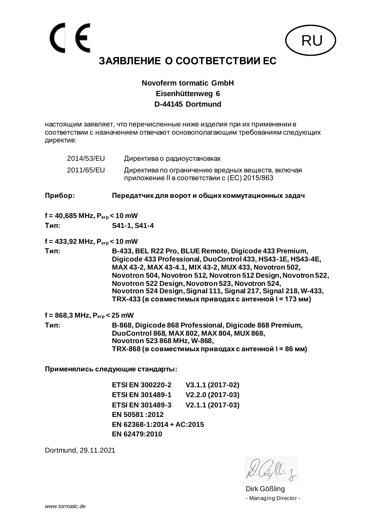

настоящим заявляет, что перечисленные ниже изделия при их применении в соответствии с назначением отвечают основополагающим требованиям следующих директив:

|         | 2014/53/EU                                               | Директива о радиоустановках                                                                                                                                                                                                                                                                                                                                                                                                         |                                                                                                   |
|---------|----------------------------------------------------------|-------------------------------------------------------------------------------------------------------------------------------------------------------------------------------------------------------------------------------------------------------------------------------------------------------------------------------------------------------------------------------------------------------------------------------------|---------------------------------------------------------------------------------------------------|
|         | 2011/65/EU                                               |                                                                                                                                                                                                                                                                                                                                                                                                                                     | Директива по ограничению вредных веществ, включая<br>приложение II в соответствии с (EC) 2015/863 |
| Прибор: |                                                          | Передатчик для ворот и общих коммутационных задач                                                                                                                                                                                                                                                                                                                                                                                   |                                                                                                   |
|         | $f = 40,685 \text{ MHz}, P_{\text{erp}} < 10 \text{ mW}$ |                                                                                                                                                                                                                                                                                                                                                                                                                                     |                                                                                                   |
| Тип:    |                                                          | S41-1, S41-4                                                                                                                                                                                                                                                                                                                                                                                                                        |                                                                                                   |
|         | $f = 433,92 \text{ MHz}, P_{\text{erp}} < 10 \text{ mW}$ |                                                                                                                                                                                                                                                                                                                                                                                                                                     |                                                                                                   |
| Тип:    |                                                          | B-433, BEL R22 Pro, BLUE Remote, Digicode 433 Premium,<br>Digicode 433 Professional, DuoControl 433, HS43-1E, HS43-4E,<br>MAX 43-2, MAX 43-4.1, MIX 43-2, MUX 433, Novotron 502,<br>Novotron 504, Novotron 512, Novotron 512 Design, Novotron 522,<br>Novotron 522 Design, Novotron 523, Novotron 524,<br>Novotron 524 Design, Signal 111, Signal 217, Signal 218, W-433,<br>TRX-433 (в совместимых приводах с антенной I = 173 мм) |                                                                                                   |
|         | $f = 868,3 \text{ MHz}, P_{\text{erp}} < 25 \text{ mW}$  |                                                                                                                                                                                                                                                                                                                                                                                                                                     |                                                                                                   |
| Тип:    |                                                          | B-868, Digicode 868 Professional, Digicode 868 Premium,<br>DuoControl 868, MAX 802, MAX 804, MUX 868,<br>Novotron 523 868 MHz, W-868,<br>TRX-868 (в совместимых приводах с антенной I = 86 мм)                                                                                                                                                                                                                                      |                                                                                                   |
|         |                                                          | Применялись следующие стандарты:                                                                                                                                                                                                                                                                                                                                                                                                    |                                                                                                   |
|         |                                                          | <b>ETSI EN 300220-2</b>                                                                                                                                                                                                                                                                                                                                                                                                             | V3.1.1 (2017-02)                                                                                  |
|         |                                                          | <b>ETSI EN 301489-1</b>                                                                                                                                                                                                                                                                                                                                                                                                             | $V2.2.0(2017-03)$                                                                                 |

**ETSI EN 301489-1 V2.2.0 (2017-03) ETSI EN 301489-3 V2.1.1 (2017-03) EN 50581 :2012 EN 62368-1:2014 + AC:2015 EN 62479:2010**

Dirk Gößling - Managing Director -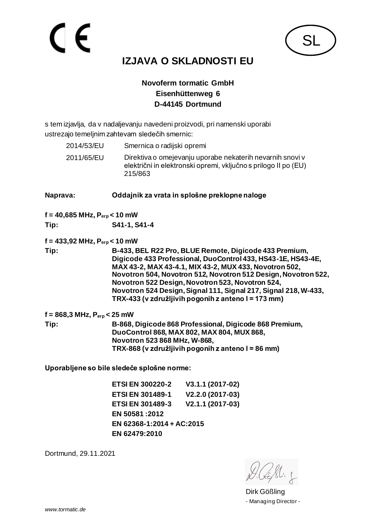

# **IZJAVA O SKLADNOSTI EU**

#### **Novoferm tormatic GmbH Eisenhüttenweg 6 D-44145 Dortmund**

s tem izjavlja, da v nadaljevanju navedeni proizvodi, pri namenski uporabi ustrezajo temeljnim zahtevam sledečih smernic:

| 2014/53/EU | Smernica o radijski opremi                                                                                                              |
|------------|-----------------------------------------------------------------------------------------------------------------------------------------|
| 2011/65/EU | Direktiva o omejevanju uporabe nekaterih nevarnih snovi v<br>električni in elektronski opremi, vključno s prilogo II po (EU)<br>215/863 |

#### **Naprava: Oddajnik za vrata in splošne preklopne naloge**

**f = 40,685 MHz, Perp < 10 mW**

**Tip: S41-1, S41-4**

**f = 433,92 MHz, Perp < 10 mW**

**Tip: B-433, BEL R22 Pro, BLUE Remote, Digicode 433 Premium, Digicode 433 Professional, DuoControl 433, HS43-1E, HS43-4E, MAX 43-2, MAX 43-4.1, MIX 43-2, MUX 433, Novotron 502, Novotron 504, Novotron 512, Novotron 512 Design, Novotron 522, Novotron 522 Design, Novotron 523, Novotron 524, Novotron 524 Design, Signal 111, Signal 217, Signal 218, W-433, TRX-433 (v združljivih pogonih z anteno l = 173 mm)**

**f = 868,3 MHz, Perp < 25 mW Tip: B-868, Digicode 868 Professional, Digicode 868 Premium, DuoControl 868, MAX 802, MAX 804, MUX 868, Novotron 523 868 MHz, W-868, TRX-868 (v združljivih pogonih z anteno l = 86 mm)**

**Uporabljene so bile sledeče splošne norme:**

**ETSI EN 300220-2 V3.1.1 (2017-02) ETSI EN 301489-1 V2.2.0 (2017-03) ETSI EN 301489-3 V2.1.1 (2017-03) EN 50581 :2012 EN 62368-1:2014 + AC:2015 EN 62479:2010**

Dirk Gößling - Managing Director -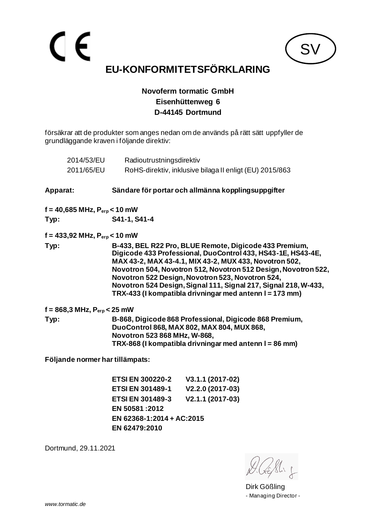# $\epsilon$ **EU-KONFORMITETSFÖRKLARING**

**SV** 

#### **Novoferm tormatic GmbH Eisenhüttenweg 6 D-44145 Dortmund**

försäkrar att de produkter som anges nedan om de används på rätt sätt uppfyller de grundläggande kraven i följande direktiv:

| 2014/53/EU                                               | Radioutrustningsdirektiv                                                                                                                                                                                                                                                                                                                                                                                                             |
|----------------------------------------------------------|--------------------------------------------------------------------------------------------------------------------------------------------------------------------------------------------------------------------------------------------------------------------------------------------------------------------------------------------------------------------------------------------------------------------------------------|
| 2011/65/EU                                               | RoHS-direktiv, inklusive bilaga II enligt (EU) 2015/863                                                                                                                                                                                                                                                                                                                                                                              |
| <b>Apparat:</b>                                          | Sändare för portar och allmänna kopplingsuppgifter                                                                                                                                                                                                                                                                                                                                                                                   |
| $f = 40,685 \text{ MHz}, P_{erp} < 10 \text{ mW}$        |                                                                                                                                                                                                                                                                                                                                                                                                                                      |
| Typ:                                                     | S41-1, S41-4                                                                                                                                                                                                                                                                                                                                                                                                                         |
| $f = 433,92 \text{ MHz}, P_{\text{erp}} < 10 \text{ mW}$ |                                                                                                                                                                                                                                                                                                                                                                                                                                      |
| Typ:                                                     | B-433, BEL R22 Pro, BLUE Remote, Digicode 433 Premium,<br>Digicode 433 Professional, DuoControl 433, HS43-1E, HS43-4E,<br>MAX 43-2, MAX 43-4.1, MIX 43-2, MUX 433, Novotron 502,<br>Novotron 504, Novotron 512, Novotron 512 Design, Novotron 522,<br>Novotron 522 Design, Novotron 523, Novotron 524,<br>Novotron 524 Design, Signal 111, Signal 217, Signal 218, W-433,<br>TRX-433 (I kompatibla drivningar med antenn I = 173 mm) |
| f = 868,3 MHz, $P_{\rm erp}$ < 25 mW                     |                                                                                                                                                                                                                                                                                                                                                                                                                                      |
| Typ:                                                     | B-868, Digicode 868 Professional, Digicode 868 Premium,<br>DuoControl 868, MAX 802, MAX 804, MUX 868,<br>Novotron 523 868 MHz, W-868,<br>TRX-868 (I kompatibla drivningar med antenn I = 86 mm)                                                                                                                                                                                                                                      |
|                                                          | Följande normer har tillämpats:                                                                                                                                                                                                                                                                                                                                                                                                      |
|                                                          |                                                                                                                                                                                                                                                                                                                                                                                                                                      |

**ETSI EN 300220-2 V3.1.1 (2017-02) ETSI EN 301489-1 V2.2.0 (2017-03) ETSI EN 301489-3 V2.1.1 (2017-03) EN 50581 :2012 EN 62368-1:2014 + AC:2015 EN 62479:2010**

Dirk Gößling - Managing Director -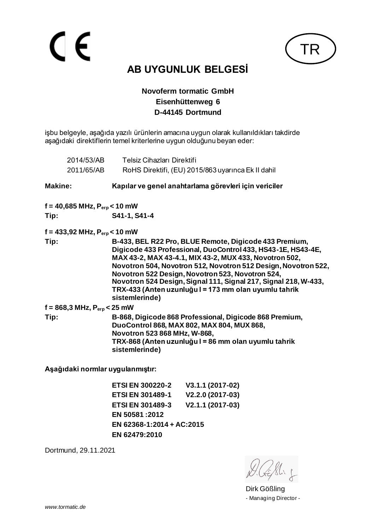# $\epsilon$



# **AB UYGUNLUK BELGESİ**

#### **Novoferm tormatic GmbH Eisenhüttenweg 6 D-44145 Dortmund**

işbu belgeyle, aşağıda yazılı ürünlerin amacına uygun olarak kullanıldıkları takdirde aşağıdaki direktiflerin temel kriterlerine uygun olduğunu beyan eder:

| 2014/53/AB                                               | Telsiz Cihazları Direktifi                                                                                                                                                                                                                                                                                                                                                                                                                           |  |
|----------------------------------------------------------|------------------------------------------------------------------------------------------------------------------------------------------------------------------------------------------------------------------------------------------------------------------------------------------------------------------------------------------------------------------------------------------------------------------------------------------------------|--|
| 2011/65/AB                                               | RoHS Direktifi, (EU) 2015/863 uyarınca Ek II dahil                                                                                                                                                                                                                                                                                                                                                                                                   |  |
| <b>Makine:</b>                                           | Kapılar ve genel anahtarlama görevleri için vericiler                                                                                                                                                                                                                                                                                                                                                                                                |  |
| $f = 40,685 \text{ MHz}, P_{\text{erp}} < 10 \text{ mW}$ |                                                                                                                                                                                                                                                                                                                                                                                                                                                      |  |
| Tip:                                                     | S41-1, S41-4                                                                                                                                                                                                                                                                                                                                                                                                                                         |  |
| f = 433,92 MHz, $P_{\text{erp}}$ < 10 mW                 |                                                                                                                                                                                                                                                                                                                                                                                                                                                      |  |
| Tip:                                                     | B-433, BEL R22 Pro, BLUE Remote, Digicode 433 Premium,<br>Digicode 433 Professional, DuoControl 433, HS43-1E, HS43-4E,<br>MAX 43-2, MAX 43-4.1, MIX 43-2, MUX 433, Novotron 502,<br>Novotron 504, Novotron 512, Novotron 512 Design, Novotron 522,<br>Novotron 522 Design, Novotron 523, Novotron 524,<br>Novotron 524 Design, Signal 111, Signal 217, Signal 218, W-433,<br>TRX-433 (Anten uzunluğu I = 173 mm olan uyumlu tahrik<br>sistemlerinde) |  |
| $f = 868,3 \text{ MHz}, P_{\text{erp}} < 25 \text{ mW}$  |                                                                                                                                                                                                                                                                                                                                                                                                                                                      |  |
| Tip:                                                     | B-868, Digicode 868 Professional, Digicode 868 Premium,<br>DuoControl 868, MAX 802, MAX 804, MUX 868,<br>Novotron 523 868 MHz, W-868,<br>TRX-868 (Anten uzunluğu I = 86 mm olan uyumlu tahrik<br>sistemlerinde)                                                                                                                                                                                                                                      |  |

**Aşağıdaki normlar uygulanmıştır:**

**ETSI EN 300220-2 V3.1.1 (2017-02) ETSI EN 301489-1 V2.2.0 (2017-03) ETSI EN 301489-3 V2.1.1 (2017-03) EN 50581 :2012 EN 62368-1:2014 + AC:2015 EN 62479:2010**

Dirk Gößling - Managing Director -